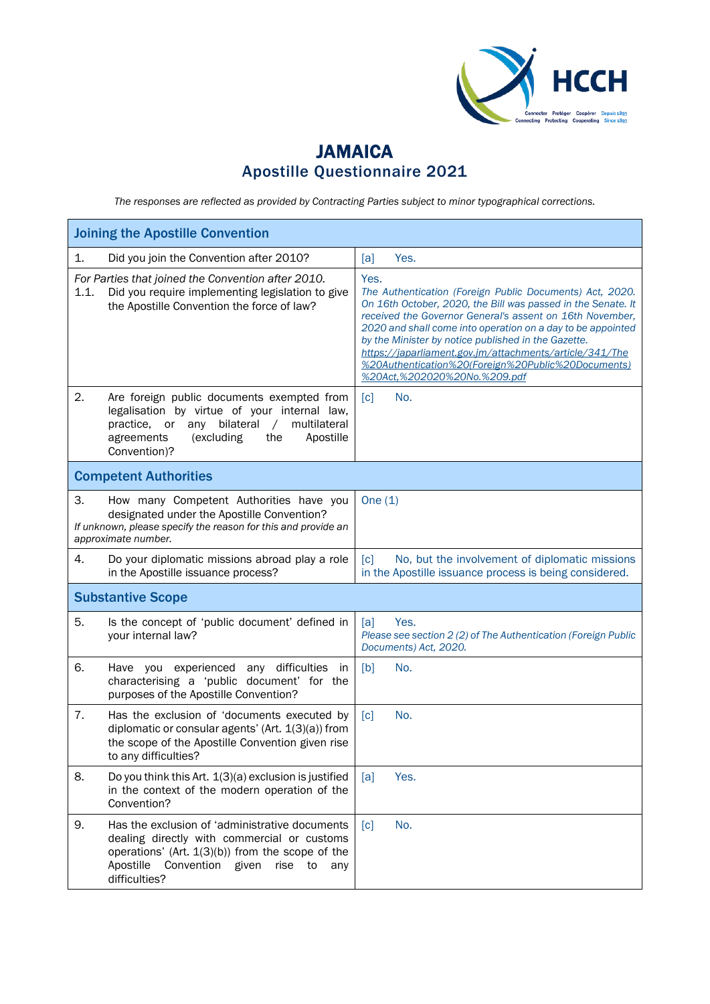

## JAMAICA Apostille Questionnaire 2021

*The responses are reflected as provided by Contracting Parties subject to minor typographical corrections.*

| <b>Joining the Apostille Convention</b> |                                                                                                                                                                                                                                |                                                                                                                                                                                                                                                                                                                                                                                                                                                                     |  |  |  |
|-----------------------------------------|--------------------------------------------------------------------------------------------------------------------------------------------------------------------------------------------------------------------------------|---------------------------------------------------------------------------------------------------------------------------------------------------------------------------------------------------------------------------------------------------------------------------------------------------------------------------------------------------------------------------------------------------------------------------------------------------------------------|--|--|--|
| 1.                                      | Did you join the Convention after 2010?                                                                                                                                                                                        | Yes.<br>[a]                                                                                                                                                                                                                                                                                                                                                                                                                                                         |  |  |  |
| 1.1.                                    | For Parties that joined the Convention after 2010.<br>Did you require implementing legislation to give<br>the Apostille Convention the force of law?                                                                           | Yes.<br>The Authentication (Foreign Public Documents) Act, 2020.<br>On 16th October, 2020, the Bill was passed in the Senate. It<br>received the Governor General's assent on 16th November,<br>2020 and shall come into operation on a day to be appointed<br>by the Minister by notice published in the Gazette.<br>https://japarliament.gov.jm/attachments/article/341/The<br>%20Authentication%20(Foreign%20Public%20Documents)<br>%20Act,%202020%20No.%209.pdf |  |  |  |
| 2.                                      | Are foreign public documents exempted from<br>legalisation by virtue of your internal law,<br>practice, or<br>bilateral<br>multilateral<br>any<br>$\sqrt{2}$<br>agreements<br>(excluding<br>the<br>Apostille<br>Convention)?   | No.<br>$\lceil c \rceil$                                                                                                                                                                                                                                                                                                                                                                                                                                            |  |  |  |
|                                         | <b>Competent Authorities</b>                                                                                                                                                                                                   |                                                                                                                                                                                                                                                                                                                                                                                                                                                                     |  |  |  |
| 3.                                      | How many Competent Authorities have you<br>designated under the Apostille Convention?<br>If unknown, please specify the reason for this and provide an<br>approximate number.                                                  | One $(1)$                                                                                                                                                                                                                                                                                                                                                                                                                                                           |  |  |  |
| 4.                                      | Do your diplomatic missions abroad play a role<br>in the Apostille issuance process?                                                                                                                                           | No, but the involvement of diplomatic missions<br>$\lceil c \rceil$<br>in the Apostille issuance process is being considered.                                                                                                                                                                                                                                                                                                                                       |  |  |  |
|                                         | <b>Substantive Scope</b>                                                                                                                                                                                                       |                                                                                                                                                                                                                                                                                                                                                                                                                                                                     |  |  |  |
| 5.                                      | Is the concept of 'public document' defined in<br>your internal law?                                                                                                                                                           | Yes.<br>[a]<br>Please see section 2 (2) of The Authentication (Foreign Public<br>Documents) Act, 2020.                                                                                                                                                                                                                                                                                                                                                              |  |  |  |
| 6.                                      | Have you experienced any difficulties<br>in<br>characterising a 'public document' for the<br>purposes of the Apostille Convention?                                                                                             | [b]<br>No.                                                                                                                                                                                                                                                                                                                                                                                                                                                          |  |  |  |
| 7.                                      | Has the exclusion of 'documents executed by<br>diplomatic or consular agents' (Art. 1(3)(a)) from<br>the scope of the Apostille Convention given rise<br>to any difficulties?                                                  | [c]<br>No.                                                                                                                                                                                                                                                                                                                                                                                                                                                          |  |  |  |
| 8.                                      | Do you think this Art. 1(3)(a) exclusion is justified<br>in the context of the modern operation of the<br>Convention?                                                                                                          | Yes.<br>[a]                                                                                                                                                                                                                                                                                                                                                                                                                                                         |  |  |  |
| 9.                                      | Has the exclusion of 'administrative documents<br>dealing directly with commercial or customs<br>operations' (Art. $1(3)(b)$ ) from the scope of the<br>Apostille<br>Convention<br>given<br>rise<br>to<br>any<br>difficulties? | $\lceil c \rceil$<br>No.                                                                                                                                                                                                                                                                                                                                                                                                                                            |  |  |  |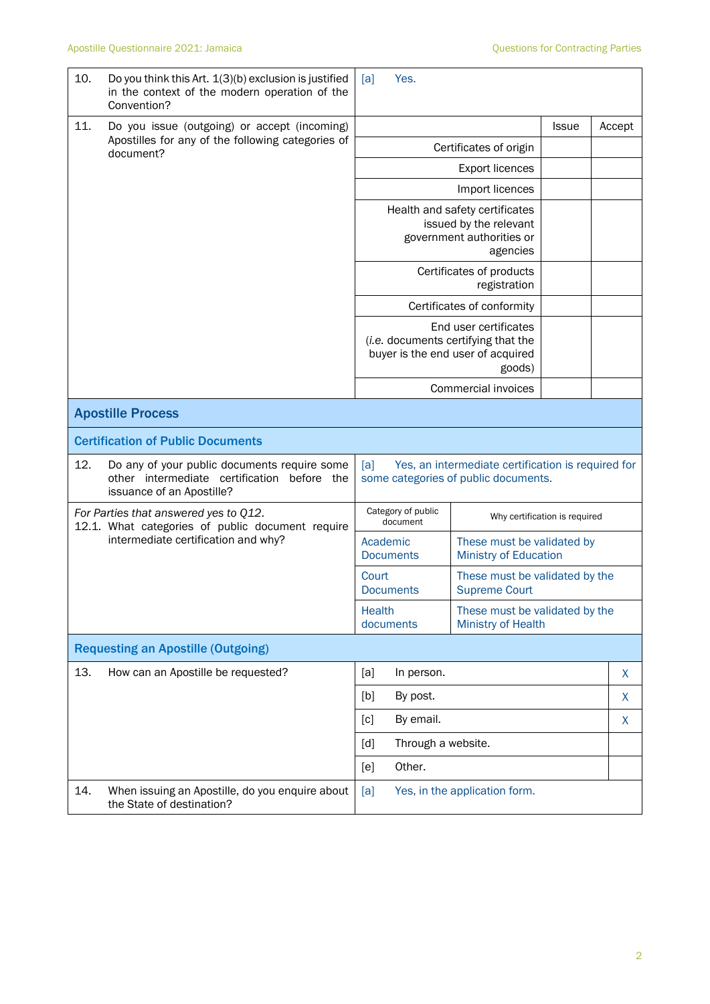| 10.                                      | Do you think this Art. 1(3)(b) exclusion is justified<br>in the context of the modern operation of the<br>Convention?                                                                                                         | Yes.<br>[a]                                                                                       |                                                             |  |        |  |
|------------------------------------------|-------------------------------------------------------------------------------------------------------------------------------------------------------------------------------------------------------------------------------|---------------------------------------------------------------------------------------------------|-------------------------------------------------------------|--|--------|--|
| 11.                                      | Do you issue (outgoing) or accept (incoming)                                                                                                                                                                                  | <b>Issue</b>                                                                                      |                                                             |  | Accept |  |
|                                          | Apostilles for any of the following categories of<br>document?                                                                                                                                                                | Certificates of origin                                                                            |                                                             |  |        |  |
|                                          |                                                                                                                                                                                                                               | <b>Export licences</b>                                                                            |                                                             |  |        |  |
|                                          |                                                                                                                                                                                                                               | Import licences                                                                                   |                                                             |  |        |  |
|                                          |                                                                                                                                                                                                                               | Health and safety certificates<br>issued by the relevant<br>government authorities or<br>agencies |                                                             |  |        |  |
|                                          |                                                                                                                                                                                                                               |                                                                                                   | Certificates of products<br>registration                    |  |        |  |
|                                          |                                                                                                                                                                                                                               |                                                                                                   | Certificates of conformity                                  |  |        |  |
|                                          |                                                                                                                                                                                                                               | End user certificates<br>(i.e. documents certifying that the<br>buyer is the end user of acquired |                                                             |  |        |  |
|                                          |                                                                                                                                                                                                                               |                                                                                                   | Commercial invoices                                         |  |        |  |
|                                          | <b>Apostille Process</b>                                                                                                                                                                                                      |                                                                                                   |                                                             |  |        |  |
| <b>Certification of Public Documents</b> |                                                                                                                                                                                                                               |                                                                                                   |                                                             |  |        |  |
| 12.                                      | Do any of your public documents require some<br>Yes, an intermediate certification is required for<br>[a]<br>other intermediate certification before the<br>some categories of public documents.<br>issuance of an Apostille? |                                                                                                   |                                                             |  |        |  |
|                                          | For Parties that answered yes to Q12.<br>12.1. What categories of public document require                                                                                                                                     | Category of public<br>Why certification is required<br>document                                   |                                                             |  |        |  |
|                                          | intermediate certification and why?                                                                                                                                                                                           | Academic<br><b>Documents</b>                                                                      | These must be validated by<br><b>Ministry of Education</b>  |  |        |  |
|                                          |                                                                                                                                                                                                                               | Court<br><b>Documents</b>                                                                         | These must be validated by the<br><b>Supreme Court</b>      |  |        |  |
|                                          |                                                                                                                                                                                                                               | Health<br>documents                                                                               | These must be validated by the<br><b>Ministry of Health</b> |  |        |  |
|                                          | <b>Requesting an Apostille (Outgoing)</b>                                                                                                                                                                                     |                                                                                                   |                                                             |  |        |  |
| 13.                                      | How can an Apostille be requested?                                                                                                                                                                                            | [a]<br>In person.                                                                                 |                                                             |  | X      |  |
|                                          |                                                                                                                                                                                                                               | By post.<br>[b]                                                                                   |                                                             |  | X      |  |
|                                          |                                                                                                                                                                                                                               | By email.<br>[c]                                                                                  |                                                             |  | X      |  |
|                                          |                                                                                                                                                                                                                               | Through a website.<br>[d]                                                                         |                                                             |  |        |  |
|                                          |                                                                                                                                                                                                                               | Other.<br>[e]                                                                                     |                                                             |  |        |  |
| 14.                                      | When issuing an Apostille, do you enquire about<br>the State of destination?                                                                                                                                                  | Yes, in the application form.<br>[a]                                                              |                                                             |  |        |  |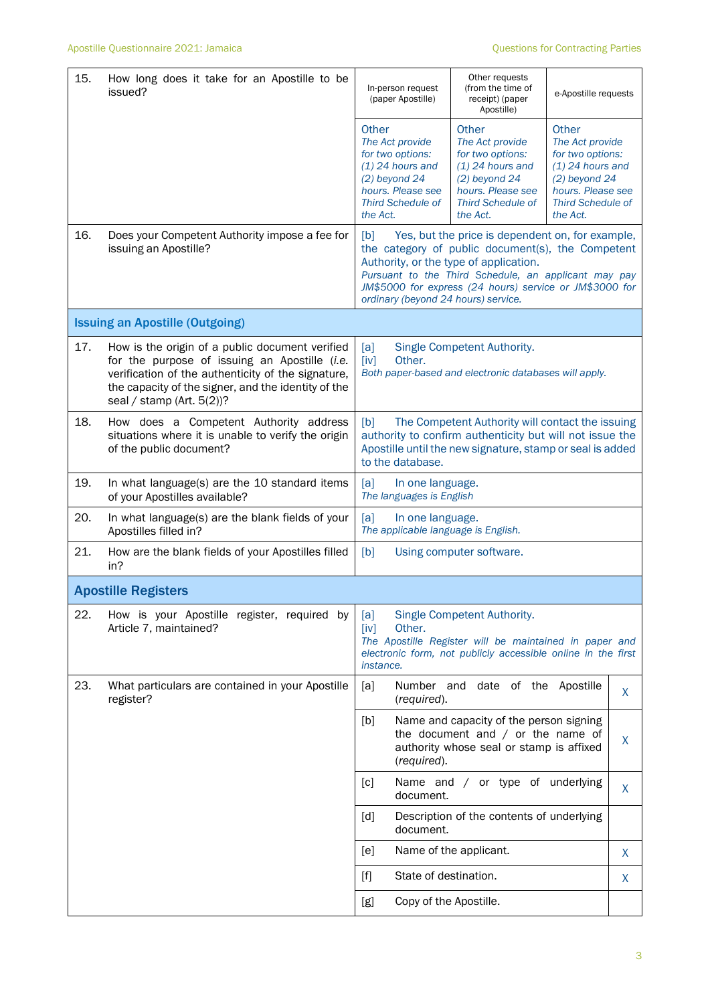| 15. | How long does it take for an Apostille to be<br>issued?                                                                                                                                                                                    | In-person request<br>(paper Apostille)                                                                                                                                                                                                                                                                           | Other requests<br>(from the time of<br>receipt) (paper<br>Apostille)                                                                                  | e-Apostille requests                                                                                                                               |    |  |
|-----|--------------------------------------------------------------------------------------------------------------------------------------------------------------------------------------------------------------------------------------------|------------------------------------------------------------------------------------------------------------------------------------------------------------------------------------------------------------------------------------------------------------------------------------------------------------------|-------------------------------------------------------------------------------------------------------------------------------------------------------|----------------------------------------------------------------------------------------------------------------------------------------------------|----|--|
|     |                                                                                                                                                                                                                                            | <b>Other</b><br>The Act provide<br>for two options:<br>$(1)$ 24 hours and<br>$(2)$ beyond 24<br>hours. Please see<br><b>Third Schedule of</b><br>the Act.                                                                                                                                                        | Other<br>The Act provide<br>for two options:<br>$(1)$ 24 hours and<br>$(2)$ beyond 24<br>hours. Please see<br><b>Third Schedule of</b><br>the Act.    | Other<br>The Act provide<br>for two options:<br>$(1)$ 24 hours and<br>$(2)$ beyond 24<br>hours. Please see<br><b>Third Schedule of</b><br>the Act. |    |  |
| 16. | Does your Competent Authority impose a fee for<br>issuing an Apostille?                                                                                                                                                                    | Yes, but the price is dependent on, for example,<br>[b]<br>the category of public document(s), the Competent<br>Authority, or the type of application.<br>Pursuant to the Third Schedule, an applicant may pay<br>JM\$5000 for express (24 hours) service or JM\$3000 for<br>ordinary (beyond 24 hours) service. |                                                                                                                                                       |                                                                                                                                                    |    |  |
|     | <b>Issuing an Apostille (Outgoing)</b>                                                                                                                                                                                                     |                                                                                                                                                                                                                                                                                                                  |                                                                                                                                                       |                                                                                                                                                    |    |  |
| 17. | How is the origin of a public document verified<br>for the purpose of issuing an Apostille (i.e.<br>verification of the authenticity of the signature,<br>the capacity of the signer, and the identity of the<br>seal / stamp (Art. 5(2))? | Single Competent Authority.<br>[a]<br>[iv]<br>Other.<br>Both paper-based and electronic databases will apply.                                                                                                                                                                                                    |                                                                                                                                                       |                                                                                                                                                    |    |  |
| 18. | How does a Competent Authority address<br>situations where it is unable to verify the origin<br>of the public document?                                                                                                                    | The Competent Authority will contact the issuing<br>[b]<br>authority to confirm authenticity but will not issue the<br>Apostille until the new signature, stamp or seal is added<br>to the database.                                                                                                             |                                                                                                                                                       |                                                                                                                                                    |    |  |
| 19. | In what language(s) are the 10 standard items<br>of your Apostilles available?                                                                                                                                                             | [a]<br>In one language.<br>The languages is English                                                                                                                                                                                                                                                              |                                                                                                                                                       |                                                                                                                                                    |    |  |
| 20. | In what language(s) are the blank fields of your<br>Apostilles filled in?                                                                                                                                                                  | [a]<br>In one language.<br>The applicable language is English.                                                                                                                                                                                                                                                   |                                                                                                                                                       |                                                                                                                                                    |    |  |
| 21. | How are the blank fields of your Apostilles filled<br>in?                                                                                                                                                                                  | Using computer software.<br>[b]                                                                                                                                                                                                                                                                                  |                                                                                                                                                       |                                                                                                                                                    |    |  |
|     | <b>Apostille Registers</b>                                                                                                                                                                                                                 |                                                                                                                                                                                                                                                                                                                  |                                                                                                                                                       |                                                                                                                                                    |    |  |
| 22. | How is your Apostille register, required by<br>Article 7, maintained?                                                                                                                                                                      | [a]<br>Other.<br>[iv]<br>instance.                                                                                                                                                                                                                                                                               | Single Competent Authority.<br>The Apostille Register will be maintained in paper and<br>electronic form, not publicly accessible online in the first |                                                                                                                                                    |    |  |
| 23. | What particulars are contained in your Apostille<br>register?                                                                                                                                                                              | [a]<br>(required).                                                                                                                                                                                                                                                                                               | Number and date of the Apostille                                                                                                                      |                                                                                                                                                    | X. |  |
|     |                                                                                                                                                                                                                                            | [b]<br>(required).                                                                                                                                                                                                                                                                                               | Name and capacity of the person signing<br>the document and $/$ or the name of<br>authority whose seal or stamp is affixed                            |                                                                                                                                                    | X. |  |
|     |                                                                                                                                                                                                                                            | [c]<br>document.                                                                                                                                                                                                                                                                                                 | Name and / or type of underlying                                                                                                                      |                                                                                                                                                    | X. |  |
|     |                                                                                                                                                                                                                                            | [d]<br>document.                                                                                                                                                                                                                                                                                                 | Description of the contents of underlying                                                                                                             |                                                                                                                                                    |    |  |
|     |                                                                                                                                                                                                                                            | [ <sub>e</sub> ]                                                                                                                                                                                                                                                                                                 | Name of the applicant.                                                                                                                                |                                                                                                                                                    | X  |  |
|     |                                                                                                                                                                                                                                            | State of destination.<br>$[f]$                                                                                                                                                                                                                                                                                   |                                                                                                                                                       |                                                                                                                                                    | X  |  |
|     |                                                                                                                                                                                                                                            | Copy of the Apostille.<br>[g]                                                                                                                                                                                                                                                                                    |                                                                                                                                                       |                                                                                                                                                    |    |  |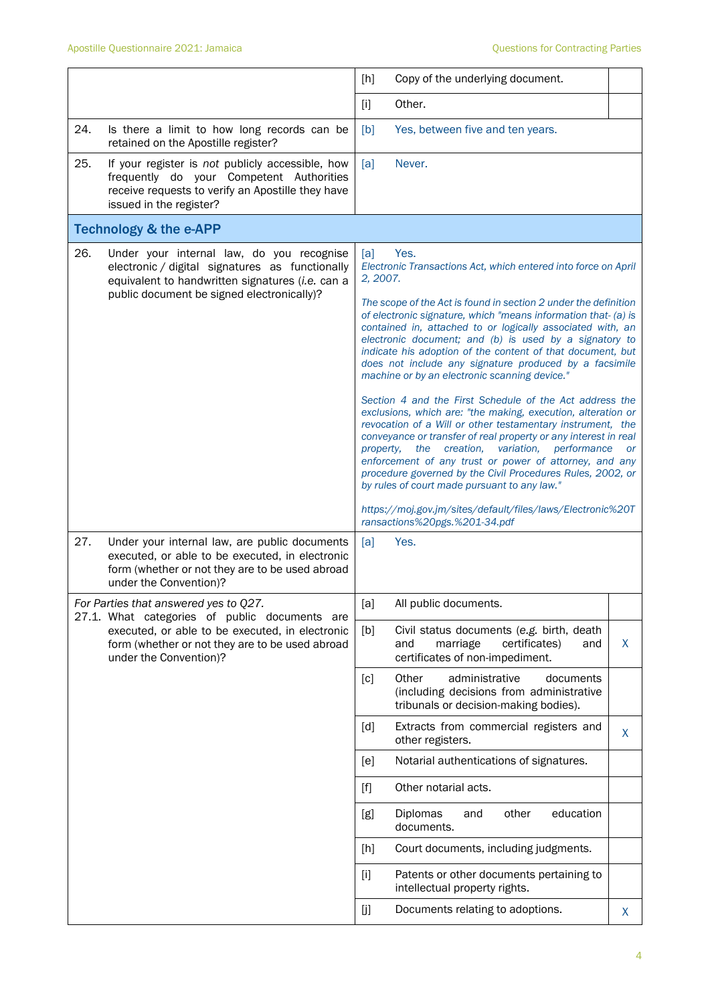|     |                                                                                                                                                                                                | [h]                                                                                                                                                                                                                                                                                                                                                                                                                                                                                                                                                                                                                                                                                                                                                                                                                                                                                                                                                                                                                            | Copy of the underlying document.                                                                                          |           |  |
|-----|------------------------------------------------------------------------------------------------------------------------------------------------------------------------------------------------|--------------------------------------------------------------------------------------------------------------------------------------------------------------------------------------------------------------------------------------------------------------------------------------------------------------------------------------------------------------------------------------------------------------------------------------------------------------------------------------------------------------------------------------------------------------------------------------------------------------------------------------------------------------------------------------------------------------------------------------------------------------------------------------------------------------------------------------------------------------------------------------------------------------------------------------------------------------------------------------------------------------------------------|---------------------------------------------------------------------------------------------------------------------------|-----------|--|
|     |                                                                                                                                                                                                | [1]                                                                                                                                                                                                                                                                                                                                                                                                                                                                                                                                                                                                                                                                                                                                                                                                                                                                                                                                                                                                                            | Other.                                                                                                                    |           |  |
| 24. | Is there a limit to how long records can be<br>retained on the Apostille register?                                                                                                             | [b]                                                                                                                                                                                                                                                                                                                                                                                                                                                                                                                                                                                                                                                                                                                                                                                                                                                                                                                                                                                                                            | Yes, between five and ten years.                                                                                          |           |  |
| 25. | If your register is not publicly accessible, how<br>frequently do your Competent Authorities<br>receive requests to verify an Apostille they have<br>issued in the register?                   | [a]                                                                                                                                                                                                                                                                                                                                                                                                                                                                                                                                                                                                                                                                                                                                                                                                                                                                                                                                                                                                                            | Never.                                                                                                                    |           |  |
|     | <b>Technology &amp; the e-APP</b>                                                                                                                                                              |                                                                                                                                                                                                                                                                                                                                                                                                                                                                                                                                                                                                                                                                                                                                                                                                                                                                                                                                                                                                                                |                                                                                                                           |           |  |
| 26. | Under your internal law, do you recognise<br>electronic / digital signatures as functionally<br>equivalent to handwritten signatures (i.e. can a<br>public document be signed electronically)? | Yes.<br>[a]<br>Electronic Transactions Act, which entered into force on April<br>2, 2007.<br>The scope of the Act is found in section 2 under the definition<br>of electronic signature, which "means information that- (a) is<br>contained in, attached to or logically associated with, an<br>electronic document; and (b) is used by a signatory to<br>indicate his adoption of the content of that document, but<br>does not include any signature produced by a facsimile<br>machine or by an electronic scanning device."<br>Section 4 and the First Schedule of the Act address the<br>exclusions, which are: "the making, execution, alteration or<br>revocation of a Will or other testamentary instrument, the<br>conveyance or transfer of real property or any interest in real<br>the creation,<br>variation,<br>performance<br>property,<br>enforcement of any trust or power of attorney, and any<br>procedure governed by the Civil Procedures Rules, 2002, or<br>by rules of court made pursuant to any law." |                                                                                                                           | <b>or</b> |  |
|     |                                                                                                                                                                                                |                                                                                                                                                                                                                                                                                                                                                                                                                                                                                                                                                                                                                                                                                                                                                                                                                                                                                                                                                                                                                                | https://moj.gov.jm/sites/default/files/laws/Electronic%20T<br>ransactions%20pgs.%201-34.pdf                               |           |  |
| 27. | Under your internal law, are public documents<br>executed, or able to be executed, in electronic<br>form (whether or not they are to be used abroad<br>under the Convention)?                  | [a]                                                                                                                                                                                                                                                                                                                                                                                                                                                                                                                                                                                                                                                                                                                                                                                                                                                                                                                                                                                                                            | Yes.                                                                                                                      |           |  |
|     | For Parties that answered yes to Q27.<br>27.1. What categories of public documents are                                                                                                         | [a]                                                                                                                                                                                                                                                                                                                                                                                                                                                                                                                                                                                                                                                                                                                                                                                                                                                                                                                                                                                                                            | All public documents.                                                                                                     |           |  |
|     | executed, or able to be executed, in electronic<br>form (whether or not they are to be used abroad<br>under the Convention)?                                                                   | [b]                                                                                                                                                                                                                                                                                                                                                                                                                                                                                                                                                                                                                                                                                                                                                                                                                                                                                                                                                                                                                            | Civil status documents (e.g. birth, death<br>marriage<br>certificates)<br>and<br>and<br>certificates of non-impediment.   | X         |  |
|     |                                                                                                                                                                                                | [c]                                                                                                                                                                                                                                                                                                                                                                                                                                                                                                                                                                                                                                                                                                                                                                                                                                                                                                                                                                                                                            | Other<br>administrative<br>documents<br>(including decisions from administrative<br>tribunals or decision-making bodies). |           |  |
|     |                                                                                                                                                                                                | [d]                                                                                                                                                                                                                                                                                                                                                                                                                                                                                                                                                                                                                                                                                                                                                                                                                                                                                                                                                                                                                            | Extracts from commercial registers and<br>other registers.                                                                | X         |  |
|     |                                                                                                                                                                                                | [e]                                                                                                                                                                                                                                                                                                                                                                                                                                                                                                                                                                                                                                                                                                                                                                                                                                                                                                                                                                                                                            | Notarial authentications of signatures.                                                                                   |           |  |
|     |                                                                                                                                                                                                | $[f] % \begin{center} % \includegraphics[width=\linewidth]{imagesSupplemental_3.png} % \end{center} % \caption { % Our method can be used for the use of the image. % } % \label{fig:example} %$                                                                                                                                                                                                                                                                                                                                                                                                                                                                                                                                                                                                                                                                                                                                                                                                                               | Other notarial acts.                                                                                                      |           |  |
|     |                                                                                                                                                                                                | [g]                                                                                                                                                                                                                                                                                                                                                                                                                                                                                                                                                                                                                                                                                                                                                                                                                                                                                                                                                                                                                            | education<br><b>Diplomas</b><br>other<br>and<br>documents.                                                                |           |  |
|     |                                                                                                                                                                                                | [h]                                                                                                                                                                                                                                                                                                                                                                                                                                                                                                                                                                                                                                                                                                                                                                                                                                                                                                                                                                                                                            | Court documents, including judgments.                                                                                     |           |  |
|     |                                                                                                                                                                                                | $[1]$                                                                                                                                                                                                                                                                                                                                                                                                                                                                                                                                                                                                                                                                                                                                                                                                                                                                                                                                                                                                                          | Patents or other documents pertaining to<br>intellectual property rights.                                                 |           |  |
|     |                                                                                                                                                                                                | [j]                                                                                                                                                                                                                                                                                                                                                                                                                                                                                                                                                                                                                                                                                                                                                                                                                                                                                                                                                                                                                            | Documents relating to adoptions.                                                                                          | X.        |  |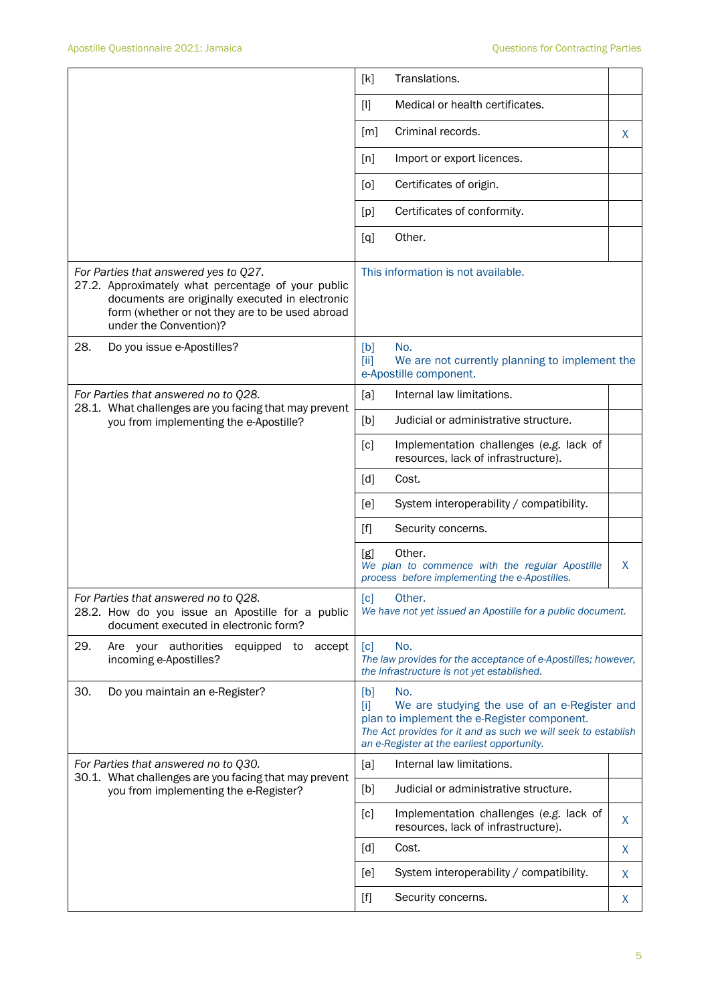|                                                                                                                                                                                                                             | [k]<br>Translations.                                                                                                                                                                                                                                                        |    |  |
|-----------------------------------------------------------------------------------------------------------------------------------------------------------------------------------------------------------------------------|-----------------------------------------------------------------------------------------------------------------------------------------------------------------------------------------------------------------------------------------------------------------------------|----|--|
|                                                                                                                                                                                                                             | Medical or health certificates.<br>$[1]$                                                                                                                                                                                                                                    |    |  |
|                                                                                                                                                                                                                             | Criminal records.<br>[m]                                                                                                                                                                                                                                                    | X. |  |
|                                                                                                                                                                                                                             | Import or export licences.<br>[n]                                                                                                                                                                                                                                           |    |  |
|                                                                                                                                                                                                                             | Certificates of origin.<br>[0]                                                                                                                                                                                                                                              |    |  |
|                                                                                                                                                                                                                             | Certificates of conformity.<br>[p]                                                                                                                                                                                                                                          |    |  |
|                                                                                                                                                                                                                             | Other.<br>[q]                                                                                                                                                                                                                                                               |    |  |
| For Parties that answered yes to Q27.<br>27.2. Approximately what percentage of your public<br>documents are originally executed in electronic<br>form (whether or not they are to be used abroad<br>under the Convention)? | This information is not available.                                                                                                                                                                                                                                          |    |  |
| 28.<br>Do you issue e-Apostilles?                                                                                                                                                                                           | No.<br>[b]<br>[iii]<br>We are not currently planning to implement the<br>e-Apostille component.                                                                                                                                                                             |    |  |
| For Parties that answered no to Q28.                                                                                                                                                                                        | Internal law limitations.<br>[a]                                                                                                                                                                                                                                            |    |  |
| 28.1. What challenges are you facing that may prevent<br>you from implementing the e-Apostille?                                                                                                                             | [b]<br>Judicial or administrative structure.                                                                                                                                                                                                                                |    |  |
|                                                                                                                                                                                                                             | Implementation challenges (e.g. lack of<br>[c]<br>resources, lack of infrastructure).                                                                                                                                                                                       |    |  |
|                                                                                                                                                                                                                             | [d]<br>Cost.                                                                                                                                                                                                                                                                |    |  |
|                                                                                                                                                                                                                             | System interoperability / compatibility.<br>[e]                                                                                                                                                                                                                             |    |  |
|                                                                                                                                                                                                                             | Security concerns.<br>$[f]$                                                                                                                                                                                                                                                 |    |  |
|                                                                                                                                                                                                                             | Other.<br>[g]<br>We plan to commence with the regular Apostille<br>process before implementing the e-Apostilles.                                                                                                                                                            | X  |  |
| For Parties that answered no to Q28.<br>28.2. How do you issue an Apostille for a public<br>document executed in electronic form?                                                                                           | [c]<br>Other.<br>We have not yet issued an Apostille for a public document.                                                                                                                                                                                                 |    |  |
| 29.<br>Are your authorities<br>equipped to<br>accept<br>incoming e-Apostilles?                                                                                                                                              | [c]<br>No.<br>The law provides for the acceptance of e-Apostilles; however,<br>the infrastructure is not yet established.                                                                                                                                                   |    |  |
| 30.<br>Do you maintain an e-Register?                                                                                                                                                                                       | [b]<br>No.<br>We are studying the use of an e-Register and<br>Ϊij<br>plan to implement the e-Register component.<br>The Act provides for it and as such we will seek to establish<br>an e-Register at the earliest opportunity.                                             |    |  |
| For Parties that answered no to Q30.<br>30.1. What challenges are you facing that may prevent                                                                                                                               | Internal law limitations.<br>[a]                                                                                                                                                                                                                                            |    |  |
| you from implementing the e-Register?                                                                                                                                                                                       | [b]<br>Judicial or administrative structure.                                                                                                                                                                                                                                |    |  |
|                                                                                                                                                                                                                             | [c]<br>Implementation challenges (e.g. lack of<br>resources, lack of infrastructure).                                                                                                                                                                                       | X  |  |
|                                                                                                                                                                                                                             | Cost.<br>[d]                                                                                                                                                                                                                                                                | X  |  |
|                                                                                                                                                                                                                             | System interoperability / compatibility.<br>[e]                                                                                                                                                                                                                             | X  |  |
|                                                                                                                                                                                                                             | Security concerns.<br>$[f] % \begin{center} % \includegraphics[width=\linewidth]{imagesSupplemental_3.png} % \end{center} % \caption { % Our method can be used for the use of the image. % Note that the \emph{Left:} \label{fig:case} \vspace{-1em} % \label{fig:case} %$ | X  |  |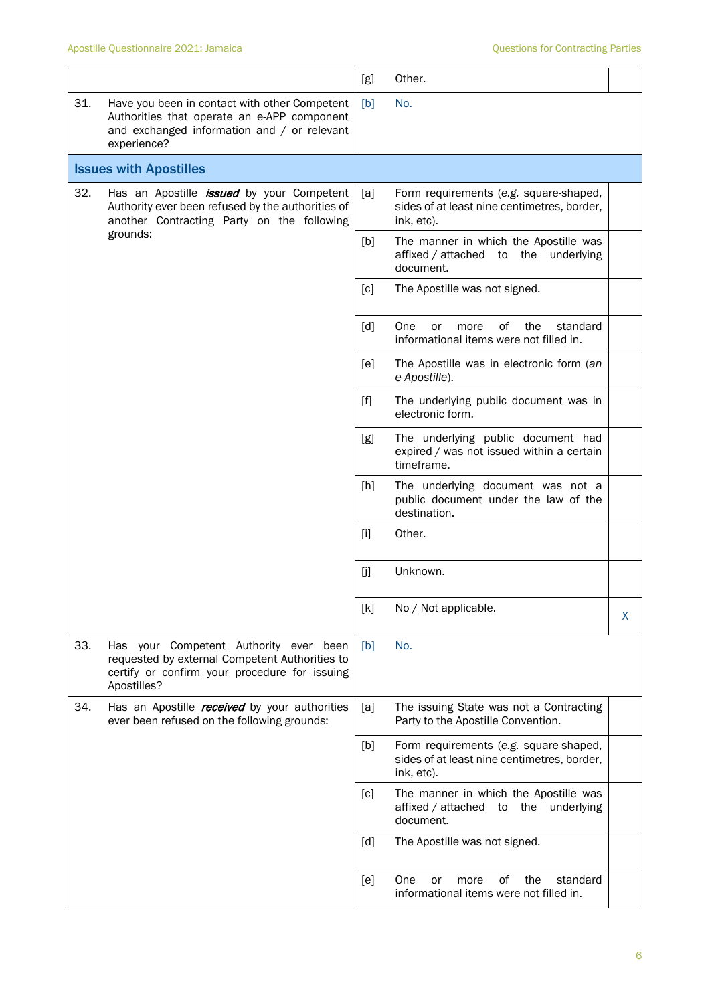|     |                                                                                                                                                                 | [g]               | Other.                                                                                              |   |
|-----|-----------------------------------------------------------------------------------------------------------------------------------------------------------------|-------------------|-----------------------------------------------------------------------------------------------------|---|
| 31. | Have you been in contact with other Competent<br>Authorities that operate an e-APP component<br>and exchanged information and / or relevant<br>experience?      | [b]               | No.                                                                                                 |   |
|     | <b>Issues with Apostilles</b>                                                                                                                                   |                   |                                                                                                     |   |
| 32. | Has an Apostille <i>issued</i> by your Competent<br>Authority ever been refused by the authorities of<br>another Contracting Party on the following<br>grounds: | [a]               | Form requirements (e.g. square-shaped,<br>sides of at least nine centimetres, border,<br>ink, etc). |   |
|     |                                                                                                                                                                 | [b]               | The manner in which the Apostille was<br>affixed / attached to the underlying<br>document.          |   |
|     |                                                                                                                                                                 | $\lceil c \rceil$ | The Apostille was not signed.                                                                       |   |
|     |                                                                                                                                                                 | $\lceil d \rceil$ | the<br>One<br>of<br>standard<br>or<br>more<br>informational items were not filled in.               |   |
|     |                                                                                                                                                                 | [e]               | The Apostille was in electronic form (an<br>e-Apostille).                                           |   |
|     |                                                                                                                                                                 | [f]               | The underlying public document was in<br>electronic form.                                           |   |
|     |                                                                                                                                                                 | [g]               | The underlying public document had<br>expired / was not issued within a certain<br>timeframe.       |   |
|     |                                                                                                                                                                 | [h]               | The underlying document was not a<br>public document under the law of the<br>destination.           |   |
|     |                                                                                                                                                                 | [i]               | Other.                                                                                              |   |
|     |                                                                                                                                                                 | [j]               | Unknown.                                                                                            |   |
|     |                                                                                                                                                                 | [k]               | No / Not applicable.                                                                                | X |
| 33. | Has your Competent Authority ever been<br>requested by external Competent Authorities to<br>certify or confirm your procedure for issuing<br>Apostilles?        | [b]               | No.                                                                                                 |   |
| 34. | Has an Apostille <i>received</i> by your authorities<br>ever been refused on the following grounds:                                                             | [a]               | The issuing State was not a Contracting<br>Party to the Apostille Convention.                       |   |
|     |                                                                                                                                                                 | [b]               | Form requirements (e.g. square-shaped,<br>sides of at least nine centimetres, border,<br>ink, etc). |   |
|     |                                                                                                                                                                 | [c]               | The manner in which the Apostille was<br>affixed / attached to the<br>underlying<br>document.       |   |
|     |                                                                                                                                                                 | [d]               | The Apostille was not signed.                                                                       |   |
|     |                                                                                                                                                                 | [e]               | One<br>οf<br>the<br>standard<br>or<br>more<br>informational items were not filled in.               |   |